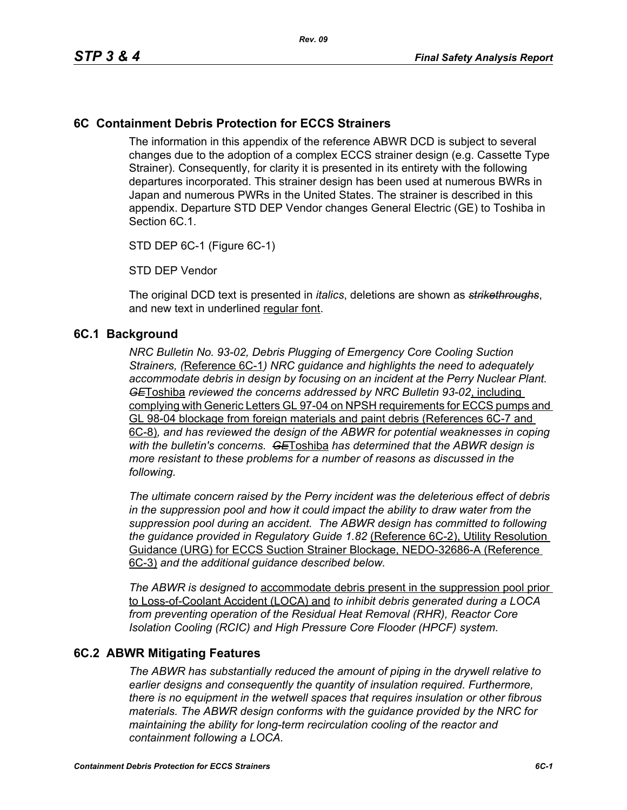#### **6C Containment Debris Protection for ECCS Strainers**

The information in this appendix of the reference ABWR DCD is subject to several changes due to the adoption of a complex ECCS strainer design (e.g. Cassette Type Strainer). Consequently, for clarity it is presented in its entirety with the following departures incorporated. This strainer design has been used at numerous BWRs in Japan and numerous PWRs in the United States. The strainer is described in this appendix. Departure STD DEP Vendor changes General Electric (GE) to Toshiba in Section 6C.1.

STD DEP 6C-1 (Figure 6C-1)

STD DEP Vendor

The original DCD text is presented in *italics*, deletions are shown as *strikethroughs*, and new text in underlined regular font.

#### **6C.1 Background**

*NRC Bulletin No. 93-02, Debris Plugging of Emergency Core Cooling Suction Strainers, (*Reference 6C-1*) NRC guidance and highlights the need to adequately accommodate debris in design by focusing on an incident at the Perry Nuclear Plant. GE*Toshiba *reviewed the concerns addressed by NRC Bulletin 93-02*, including complying with Generic Letters GL 97-04 on NPSH requirements for ECCS pumps and GL 98-04 blockage from foreign materials and paint debris (References 6C-7 and 6C-8)*, and has reviewed the design of the ABWR for potential weaknesses in coping with the bulletin's concerns. GE*Toshiba *has determined that the ABWR design is more resistant to these problems for a number of reasons as discussed in the following.* 

*The ultimate concern raised by the Perry incident was the deleterious effect of debris in the suppression pool and how it could impact the ability to draw water from the suppression pool during an accident. The ABWR design has committed to following the guidance provided in Regulatory Guide 1.82* (Reference 6C-2), Utility Resolution Guidance (URG) for ECCS Suction Strainer Blockage, NEDO-32686-A (Reference 6C-3) *and the additional guidance described below.* 

*The ABWR is designed to* accommodate debris present in the suppression pool prior to Loss-of-Coolant Accident (LOCA) and *to inhibit debris generated during a LOCA from preventing operation of the Residual Heat Removal (RHR), Reactor Core Isolation Cooling (RCIC) and High Pressure Core Flooder (HPCF) system.* 

#### **6C.2 ABWR Mitigating Features**

*The ABWR has substantially reduced the amount of piping in the drywell relative to earlier designs and consequently the quantity of insulation required. Furthermore, there is no equipment in the wetwell spaces that requires insulation or other fibrous materials. The ABWR design conforms with the guidance provided by the NRC for maintaining the ability for long-term recirculation cooling of the reactor and containment following a LOCA.*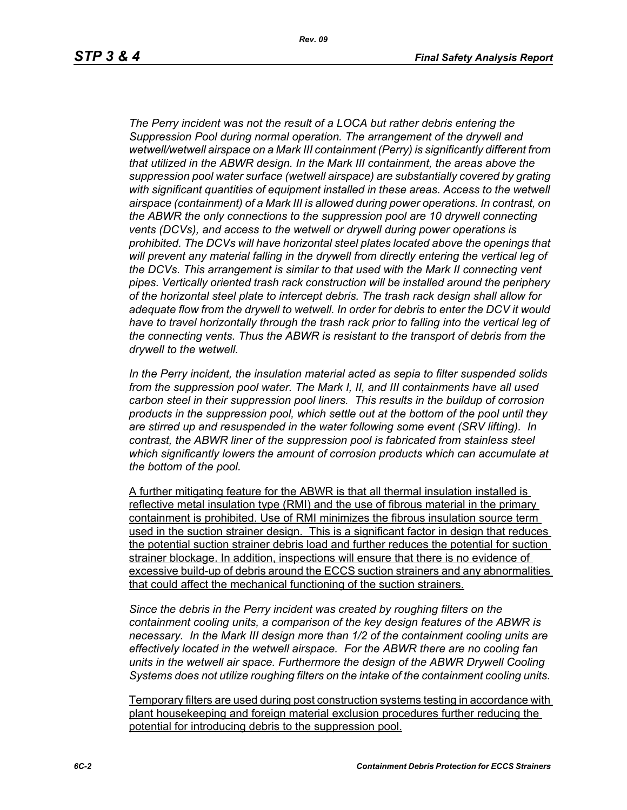*Rev. 09*

*The Perry incident was not the result of a LOCA but rather debris entering the Suppression Pool during normal operation. The arrangement of the drywell and wetwell/wetwell airspace on a Mark III containment (Perry) is significantly different from that utilized in the ABWR design. In the Mark III containment, the areas above the suppression pool water surface (wetwell airspace) are substantially covered by grating with significant quantities of equipment installed in these areas. Access to the wetwell airspace (containment) of a Mark III is allowed during power operations. In contrast, on the ABWR the only connections to the suppression pool are 10 drywell connecting vents (DCVs), and access to the wetwell or drywell during power operations is prohibited. The DCVs will have horizontal steel plates located above the openings that will prevent any material falling in the drywell from directly entering the vertical leg of the DCVs. This arrangement is similar to that used with the Mark II connecting vent pipes. Vertically oriented trash rack construction will be installed around the periphery of the horizontal steel plate to intercept debris. The trash rack design shall allow for adequate flow from the drywell to wetwell. In order for debris to enter the DCV it would*  have to travel horizontally through the trash rack prior to falling into the vertical leg of *the connecting vents. Thus the ABWR is resistant to the transport of debris from the drywell to the wetwell.*

*In the Perry incident, the insulation material acted as sepia to filter suspended solids from the suppression pool water. The Mark I, II, and III containments have all used carbon steel in their suppression pool liners. This results in the buildup of corrosion products in the suppression pool, which settle out at the bottom of the pool until they are stirred up and resuspended in the water following some event (SRV lifting). In contrast, the ABWR liner of the suppression pool is fabricated from stainless steel which significantly lowers the amount of corrosion products which can accumulate at the bottom of the pool.* 

A further mitigating feature for the ABWR is that all thermal insulation installed is reflective metal insulation type (RMI) and the use of fibrous material in the primary containment is prohibited. Use of RMI minimizes the fibrous insulation source term used in the suction strainer design. This is a significant factor in design that reduces the potential suction strainer debris load and further reduces the potential for suction strainer blockage. In addition, inspections will ensure that there is no evidence of excessive build-up of debris around the ECCS suction strainers and any abnormalities that could affect the mechanical functioning of the suction strainers.

*Since the debris in the Perry incident was created by roughing filters on the containment cooling units, a comparison of the key design features of the ABWR is necessary. In the Mark III design more than 1/2 of the containment cooling units are effectively located in the wetwell airspace. For the ABWR there are no cooling fan units in the wetwell air space. Furthermore the design of the ABWR Drywell Cooling Systems does not utilize roughing filters on the intake of the containment cooling units.* 

Temporary filters are used during post construction systems testing in accordance with plant housekeeping and foreign material exclusion procedures further reducing the potential for introducing debris to the suppression pool.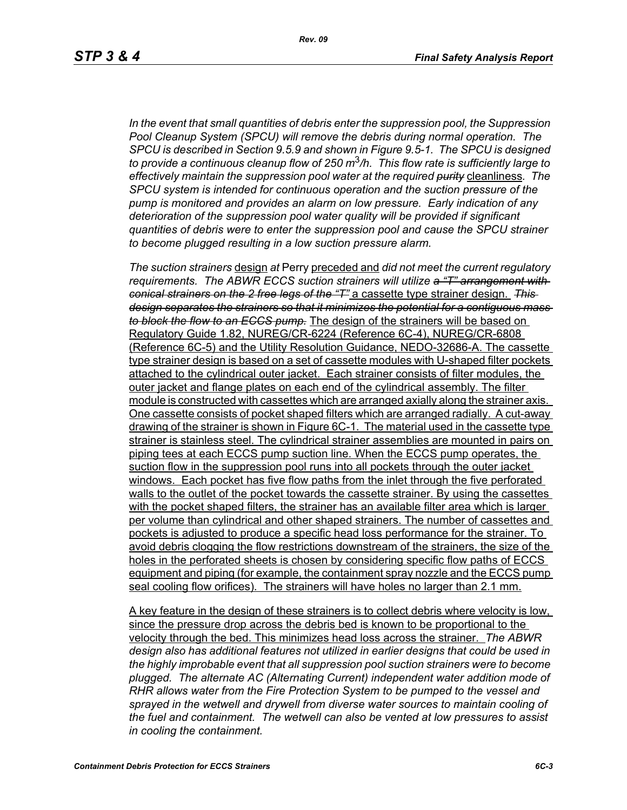*In the event that small quantities of debris enter the suppression pool, the Suppression Pool Cleanup System (SPCU) will remove the debris during normal operation. The SPCU is described in Section 9.5.9 and shown in Figure 9.5-1. The SPCU is designed to provide a continuous cleanup flow of 250 m*3*/h. This flow rate is sufficiently large to effectively maintain the suppression pool water at the required purity* cleanliness*. The SPCU system is intended for continuous operation and the suction pressure of the pump is monitored and provides an alarm on low pressure. Early indication of any deterioration of the suppression pool water quality will be provided if significant quantities of debris were to enter the suppression pool and cause the SPCU strainer to become plugged resulting in a low suction pressure alarm.* 

*The suction strainers* design *at* Perry preceded and *did not meet the current regulatory requirements. The ABWR ECCS suction strainers will utilize a "T" arrangement with conical strainers on the 2 free legs of the "T"* a cassette type strainer design. *This design separates the strainers so that it minimizes the potential for a contiguous mass to block the flow to an ECCS pump.* The design of the strainers will be based on Regulatory Guide 1.82, NUREG/CR-6224 (Reference 6C-4), NUREG/CR-6808 (Reference 6C-5) and the Utility Resolution Guidance, NEDO-32686-A. The cassette type strainer design is based on a set of cassette modules with U-shaped filter pockets attached to the cylindrical outer jacket. Each strainer consists of filter modules, the outer jacket and flange plates on each end of the cylindrical assembly. The filter module is constructed with cassettes which are arranged axially along the strainer axis. One cassette consists of pocket shaped filters which are arranged radially. A cut-away drawing of the strainer is shown in Figure 6C-1. The material used in the cassette type strainer is stainless steel. The cylindrical strainer assemblies are mounted in pairs on piping tees at each ECCS pump suction line. When the ECCS pump operates, the suction flow in the suppression pool runs into all pockets through the outer jacket windows. Each pocket has five flow paths from the inlet through the five perforated walls to the outlet of the pocket towards the cassette strainer. By using the cassettes with the pocket shaped filters, the strainer has an available filter area which is larger per volume than cylindrical and other shaped strainers. The number of cassettes and pockets is adjusted to produce a specific head loss performance for the strainer. To avoid debris clogging the flow restrictions downstream of the strainers, the size of the holes in the perforated sheets is chosen by considering specific flow paths of ECCS equipment and piping (for example, the containment spray nozzle and the ECCS pump seal cooling flow orifices). The strainers will have holes no larger than 2.1 mm.

A key feature in the design of these strainers is to collect debris where velocity is low, since the pressure drop across the debris bed is known to be proportional to the velocity through the bed. This minimizes head loss across the strainer. *The ABWR design also has additional features not utilized in earlier designs that could be used in the highly improbable event that all suppression pool suction strainers were to become plugged. The alternate AC (Alternating Current) independent water addition mode of RHR allows water from the Fire Protection System to be pumped to the vessel and*  sprayed in the wetwell and drywell from diverse water sources to maintain cooling of *the fuel and containment. The wetwell can also be vented at low pressures to assist in cooling the containment.*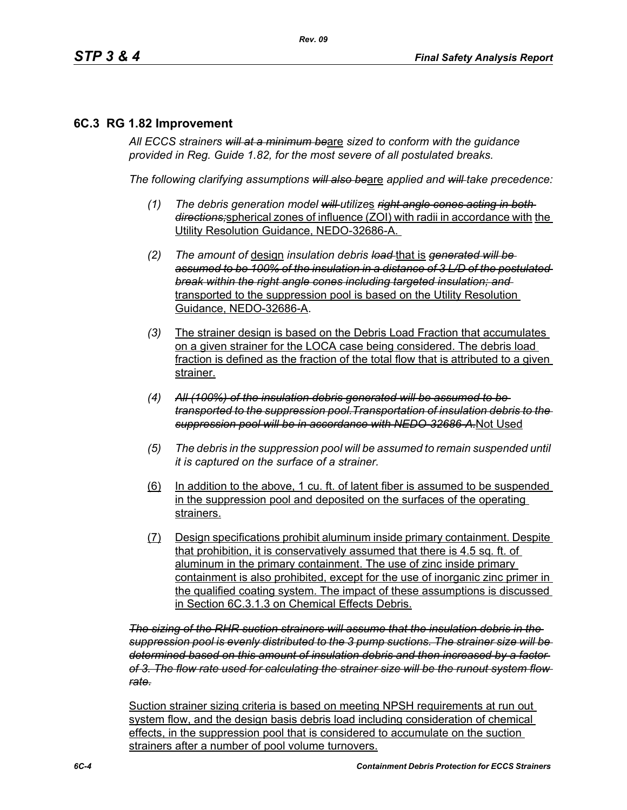#### **6C.3 RG 1.82 Improvement**

*All ECCS strainers will at a minimum be*are *sized to conform with the guidance provided in Reg. Guide 1.82, for the most severe of all postulated breaks.*

*The following clarifying assumptions will also be*are *applied and will take precedence:*

- *(1) The debris generation model will utilize*s *right angle cones acting in both directions;*spherical zones of influence (ZOI) with radii in accordance with the Utility Resolution Guidance, NEDO-32686-A.
- *(2) The amount of* design *insulation debris load* that is *generated will be assumed to be 100% of the insulation in a distance of 3 L/D of the postulated break within the right angle cones including targeted insulation; and* transported to the suppression pool is based on the Utility Resolution Guidance, NEDO-32686-A.
- *(3)* The strainer design is based on the Debris Load Fraction that accumulates on a given strainer for the LOCA case being considered. The debris load fraction is defined as the fraction of the total flow that is attributed to a given strainer.
- *(4) All (100%) of the insulation debris generated will be assumed to be transported to the suppression pool.Transportation of insulation debris to the suppression pool will be in accordance with NEDO-32686-A.*Not Used
- *(5) The debris in the suppression pool will be assumed to remain suspended until it is captured on the surface of a strainer.*
- (6) In addition to the above, 1 cu. ft. of latent fiber is assumed to be suspended in the suppression pool and deposited on the surfaces of the operating strainers.
- (7) Design specifications prohibit aluminum inside primary containment. Despite that prohibition, it is conservatively assumed that there is 4.5 sq. ft. of aluminum in the primary containment. The use of zinc inside primary containment is also prohibited, except for the use of inorganic zinc primer in the qualified coating system. The impact of these assumptions is discussed in Section 6C.3.1.3 on Chemical Effects Debris.

*The sizing of the RHR suction strainers will assume that the insulation debris in the suppression pool is evenly distributed to the 3 pump suctions. The strainer size will be determined based on this amount of insulation debris and then increased by a factor of 3. The flow rate used for calculating the strainer size will be the runout system flow rate.*

Suction strainer sizing criteria is based on meeting NPSH requirements at run out system flow, and the design basis debris load including consideration of chemical effects, in the suppression pool that is considered to accumulate on the suction strainers after a number of pool volume turnovers.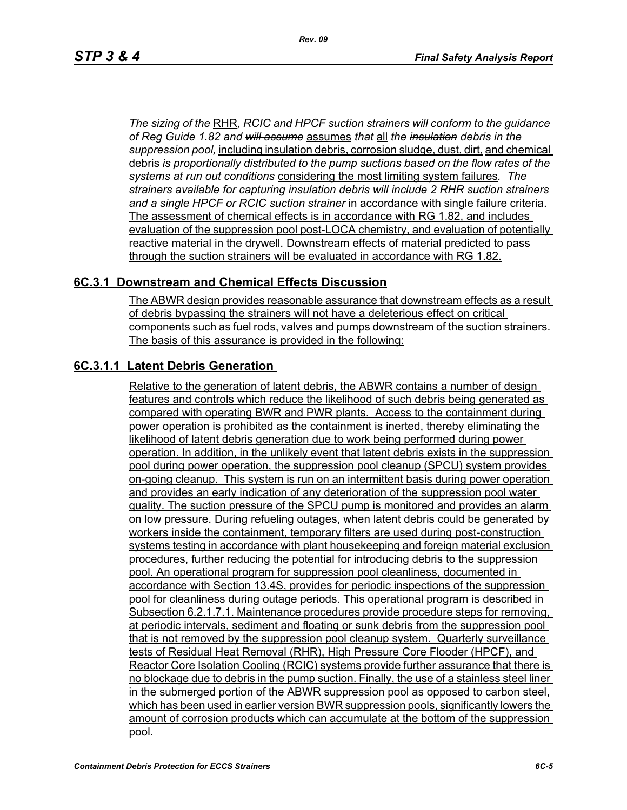*The sizing of the* RHR*, RCIC and HPCF suction strainers will conform to the guidance of Reg Guide 1.82 and will assume* assumes *that* all *the insulation debris in the suppression pool,* including insulation debris, corrosion sludge, dust, dirt, and chemical debris *is proportionally distributed to the pump suctions based on the flow rates of the systems at run out conditions* considering the most limiting system failures*. The strainers available for capturing insulation debris will include 2 RHR suction strainers and a single HPCF or RCIC suction strainer* in accordance with single failure criteria. The assessment of chemical effects is in accordance with RG 1.82, and includes evaluation of the suppression pool post-LOCA chemistry, and evaluation of potentially reactive material in the drywell. Downstream effects of material predicted to pass through the suction strainers will be evaluated in accordance with RG 1.82.

#### **6C.3.1 Downstream and Chemical Effects Discussion**

The ABWR design provides reasonable assurance that downstream effects as a result of debris bypassing the strainers will not have a deleterious effect on critical components such as fuel rods, valves and pumps downstream of the suction strainers. The basis of this assurance is provided in the following:

### **6C.3.1.1 Latent Debris Generation**

Relative to the generation of latent debris, the ABWR contains a number of design features and controls which reduce the likelihood of such debris being generated as compared with operating BWR and PWR plants. Access to the containment during power operation is prohibited as the containment is inerted, thereby eliminating the likelihood of latent debris generation due to work being performed during power operation. In addition, in the unlikely event that latent debris exists in the suppression pool during power operation, the suppression pool cleanup (SPCU) system provides on-going cleanup. This system is run on an intermittent basis during power operation and provides an early indication of any deterioration of the suppression pool water quality. The suction pressure of the SPCU pump is monitored and provides an alarm on low pressure. During refueling outages, when latent debris could be generated by workers inside the containment, temporary filters are used during post-construction systems testing in accordance with plant housekeeping and foreign material exclusion procedures, further reducing the potential for introducing debris to the suppression pool. An operational program for suppression pool cleanliness, documented in accordance with Section 13.4S, provides for periodic inspections of the suppression pool for cleanliness during outage periods. This operational program is described in Subsection 6.2.1.7.1. Maintenance procedures provide procedure steps for removing, at periodic intervals, sediment and floating or sunk debris from the suppression pool that is not removed by the suppression pool cleanup system. Quarterly surveillance tests of Residual Heat Removal (RHR), High Pressure Core Flooder (HPCF), and Reactor Core Isolation Cooling (RCIC) systems provide further assurance that there is no blockage due to debris in the pump suction. Finally, the use of a stainless steel liner in the submerged portion of the ABWR suppression pool as opposed to carbon steel, which has been used in earlier version BWR suppression pools, significantly lowers the amount of corrosion products which can accumulate at the bottom of the suppression pool.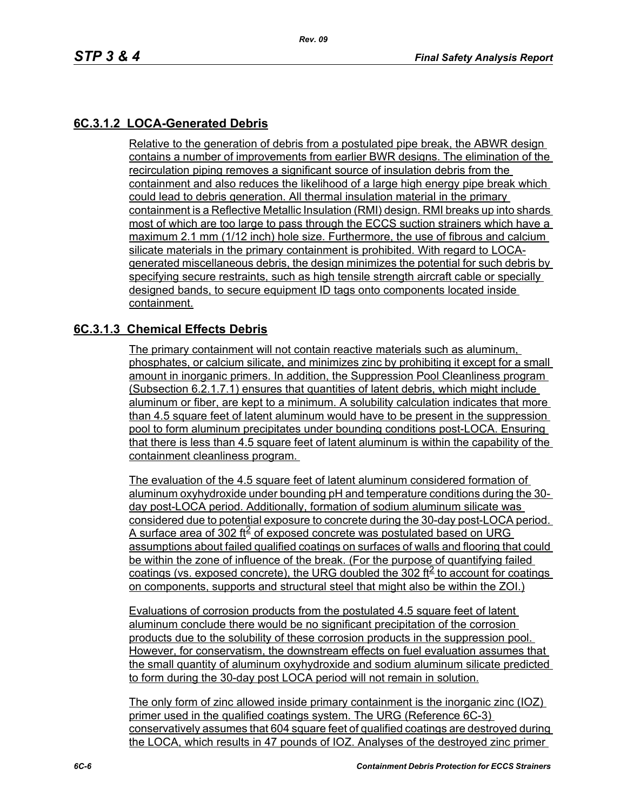## **6C.3.1.2 LOCA-Generated Debris**

Relative to the generation of debris from a postulated pipe break, the ABWR design contains a number of improvements from earlier BWR designs. The elimination of the recirculation piping removes a significant source of insulation debris from the containment and also reduces the likelihood of a large high energy pipe break which could lead to debris generation. All thermal insulation material in the primary containment is a Reflective Metallic Insulation (RMI) design. RMI breaks up into shards most of which are too large to pass through the ECCS suction strainers which have a maximum 2.1 mm (1/12 inch) hole size. Furthermore, the use of fibrous and calcium silicate materials in the primary containment is prohibited. With regard to LOCAgenerated miscellaneous debris, the design minimizes the potential for such debris by specifying secure restraints, such as high tensile strength aircraft cable or specially designed bands, to secure equipment ID tags onto components located inside containment.

#### **6C.3.1.3 Chemical Effects Debris**

The primary containment will not contain reactive materials such as aluminum, phosphates, or calcium silicate, and minimizes zinc by prohibiting it except for a small amount in inorganic primers. In addition, the Suppression Pool Cleanliness program (Subsection 6.2.1.7.1) ensures that quantities of latent debris, which might include aluminum or fiber, are kept to a minimum. A solubility calculation indicates that more than 4.5 square feet of latent aluminum would have to be present in the suppression pool to form aluminum precipitates under bounding conditions post-LOCA. Ensuring that there is less than 4.5 square feet of latent aluminum is within the capability of the containment cleanliness program.

The evaluation of the 4.5 square feet of latent aluminum considered formation of aluminum oxyhydroxide under bounding pH and temperature conditions during the 30 day post-LOCA period. Additionally, formation of sodium aluminum silicate was considered due to potential exposure to concrete during the 30-day post-LOCA period. A surface area of 302 ft $\leq$  of exposed concrete was postulated based on URG assumptions about failed qualified coatings on surfaces of walls and flooring that could be within the zone of influence of the break. (For the purpose of quantifying failed coatings (vs. exposed concrete), the URG doubled the 302 ft<sup>2</sup> to account for coatings on components, supports and structural steel that might also be within the ZOI.)

Evaluations of corrosion products from the postulated 4.5 square feet of latent aluminum conclude there would be no significant precipitation of the corrosion products due to the solubility of these corrosion products in the suppression pool. However, for conservatism, the downstream effects on fuel evaluation assumes that the small quantity of aluminum oxyhydroxide and sodium aluminum silicate predicted to form during the 30-day post LOCA period will not remain in solution.

The only form of zinc allowed inside primary containment is the inorganic zinc (IOZ) primer used in the qualified coatings system. The URG (Reference 6C-3) conservatively assumes that 604 square feet of qualified coatings are destroyed during the LOCA, which results in 47 pounds of IOZ. Analyses of the destroyed zinc primer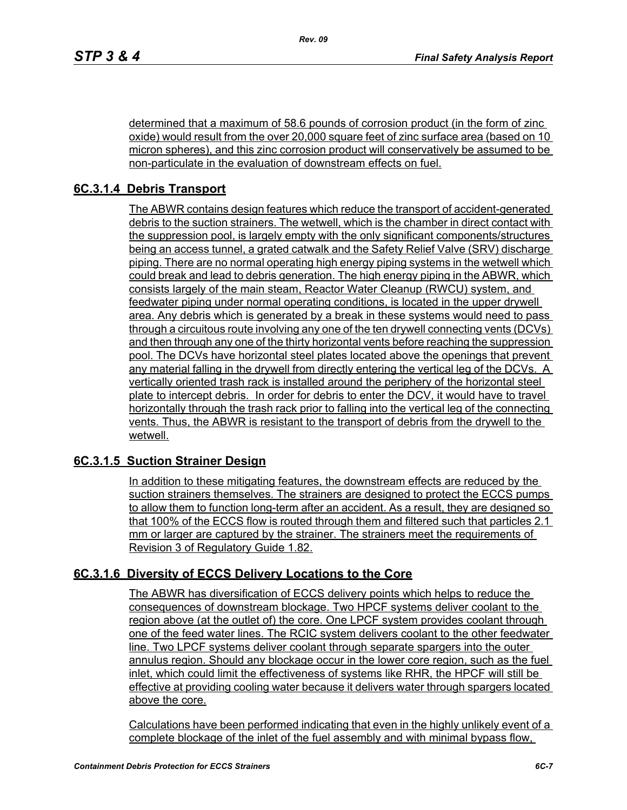determined that a maximum of 58.6 pounds of corrosion product (in the form of zinc oxide) would result from the over 20,000 square feet of zinc surface area (based on 10 micron spheres), and this zinc corrosion product will conservatively be assumed to be non-particulate in the evaluation of downstream effects on fuel.

# **6C.3.1.4 Debris Transport**

The ABWR contains design features which reduce the transport of accident-generated debris to the suction strainers. The wetwell, which is the chamber in direct contact with the suppression pool, is largely empty with the only significant components/structures being an access tunnel, a grated catwalk and the Safety Relief Valve (SRV) discharge piping. There are no normal operating high energy piping systems in the wetwell which could break and lead to debris generation. The high energy piping in the ABWR, which consists largely of the main steam, Reactor Water Cleanup (RWCU) system, and feedwater piping under normal operating conditions, is located in the upper drywell area. Any debris which is generated by a break in these systems would need to pass through a circuitous route involving any one of the ten drywell connecting vents (DCVs) and then through any one of the thirty horizontal vents before reaching the suppression pool. The DCVs have horizontal steel plates located above the openings that prevent any material falling in the drywell from directly entering the vertical leg of the DCVs. A vertically oriented trash rack is installed around the periphery of the horizontal steel plate to intercept debris. In order for debris to enter the DCV, it would have to travel horizontally through the trash rack prior to falling into the vertical leg of the connecting vents. Thus, the ABWR is resistant to the transport of debris from the drywell to the wetwell.

## **6C.3.1.5 Suction Strainer Design**

In addition to these mitigating features, the downstream effects are reduced by the suction strainers themselves. The strainers are designed to protect the ECCS pumps to allow them to function long-term after an accident. As a result, they are designed so that 100% of the ECCS flow is routed through them and filtered such that particles 2.1 mm or larger are captured by the strainer. The strainers meet the requirements of Revision 3 of Regulatory Guide 1.82.

## **6C.3.1.6 Diversity of ECCS Delivery Locations to the Core**

The ABWR has diversification of ECCS delivery points which helps to reduce the consequences of downstream blockage. Two HPCF systems deliver coolant to the region above (at the outlet of) the core. One LPCF system provides coolant through one of the feed water lines. The RCIC system delivers coolant to the other feedwater line. Two LPCF systems deliver coolant through separate spargers into the outer annulus region. Should any blockage occur in the lower core region, such as the fuel inlet, which could limit the effectiveness of systems like RHR, the HPCF will still be effective at providing cooling water because it delivers water through spargers located above the core.

Calculations have been performed indicating that even in the highly unlikely event of a complete blockage of the inlet of the fuel assembly and with minimal bypass flow,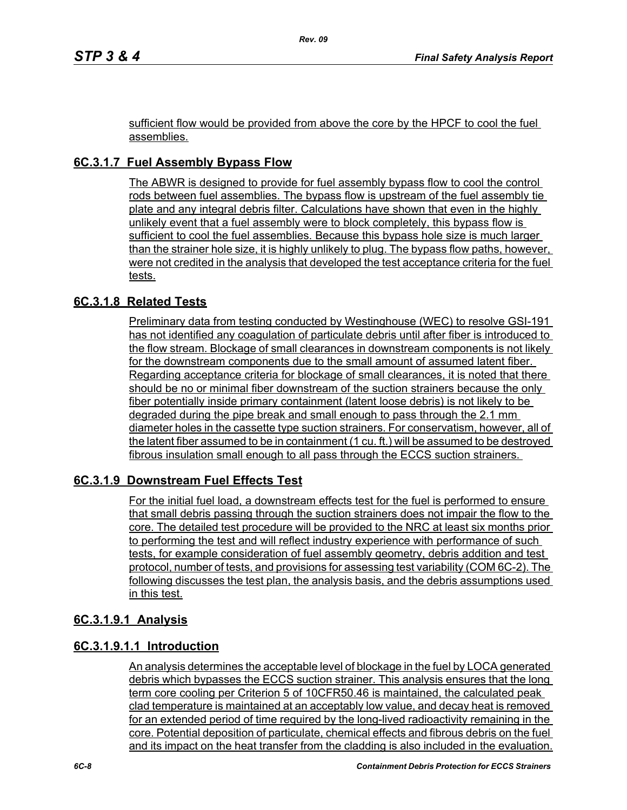sufficient flow would be provided from above the core by the HPCF to cool the fuel assemblies.

# **6C.3.1.7 Fuel Assembly Bypass Flow**

The ABWR is designed to provide for fuel assembly bypass flow to cool the control rods between fuel assemblies. The bypass flow is upstream of the fuel assembly tie plate and any integral debris filter. Calculations have shown that even in the highly unlikely event that a fuel assembly were to block completely, this bypass flow is sufficient to cool the fuel assemblies. Because this bypass hole size is much larger than the strainer hole size, it is highly unlikely to plug. The bypass flow paths, however, were not credited in the analysis that developed the test acceptance criteria for the fuel tests.

## **6C.3.1.8 Related Tests**

Preliminary data from testing conducted by Westinghouse (WEC) to resolve GSI-191 has not identified any coagulation of particulate debris until after fiber is introduced to the flow stream. Blockage of small clearances in downstream components is not likely for the downstream components due to the small amount of assumed latent fiber. Regarding acceptance criteria for blockage of small clearances, it is noted that there should be no or minimal fiber downstream of the suction strainers because the only fiber potentially inside primary containment (latent loose debris) is not likely to be degraded during the pipe break and small enough to pass through the 2.1 mm diameter holes in the cassette type suction strainers. For conservatism, however, all of the latent fiber assumed to be in containment (1 cu. ft.) will be assumed to be destroyed fibrous insulation small enough to all pass through the ECCS suction strainers.

## **6C.3.1.9 Downstream Fuel Effects Test**

For the initial fuel load, a downstream effects test for the fuel is performed to ensure that small debris passing through the suction strainers does not impair the flow to the core. The detailed test procedure will be provided to the NRC at least six months prior to performing the test and will reflect industry experience with performance of such tests, for example consideration of fuel assembly geometry, debris addition and test protocol, number of tests, and provisions for assessing test variability (COM 6C-2). The following discusses the test plan, the analysis basis, and the debris assumptions used in this test.

#### **6C.3.1.9.1 Analysis**

## **6C.3.1.9.1.1 Introduction**

An analysis determines the acceptable level of blockage in the fuel by LOCA generated debris which bypasses the ECCS suction strainer. This analysis ensures that the long term core cooling per Criterion 5 of 10CFR50.46 is maintained, the calculated peak clad temperature is maintained at an acceptably low value, and decay heat is removed for an extended period of time required by the long-lived radioactivity remaining in the core. Potential deposition of particulate, chemical effects and fibrous debris on the fuel and its impact on the heat transfer from the cladding is also included in the evaluation.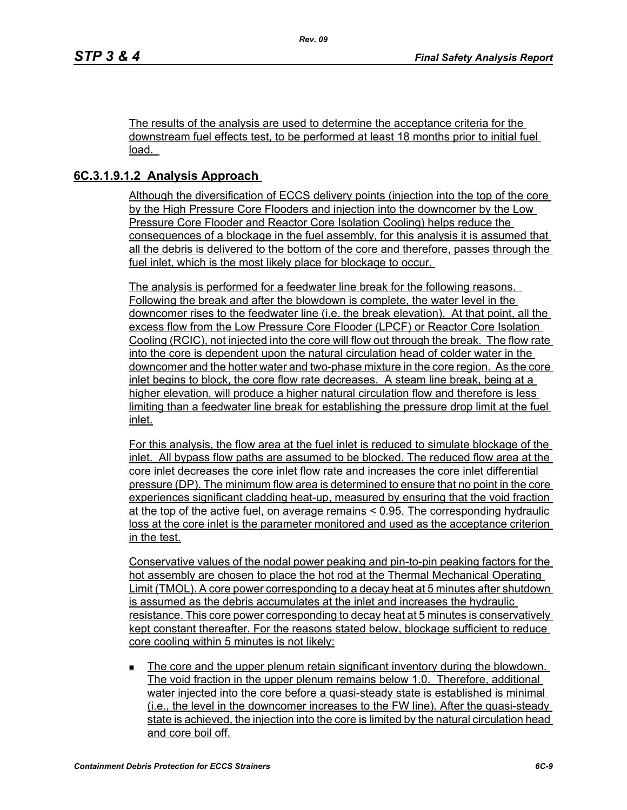The results of the analysis are used to determine the acceptance criteria for the downstream fuel effects test, to be performed at least 18 months prior to initial fuel load.

### **6C.3.1.9.1.2 Analysis Approach**

Although the diversification of ECCS delivery points (injection into the top of the core by the High Pressure Core Flooders and injection into the downcomer by the Low Pressure Core Flooder and Reactor Core Isolation Cooling) helps reduce the consequences of a blockage in the fuel assembly, for this analysis it is assumed that all the debris is delivered to the bottom of the core and therefore, passes through the fuel inlet, which is the most likely place for blockage to occur.

The analysis is performed for a feedwater line break for the following reasons. Following the break and after the blowdown is complete, the water level in the downcomer rises to the feedwater line (i.e. the break elevation). At that point, all the excess flow from the Low Pressure Core Flooder (LPCF) or Reactor Core Isolation Cooling (RCIC), not injected into the core will flow out through the break. The flow rate into the core is dependent upon the natural circulation head of colder water in the downcomer and the hotter water and two-phase mixture in the core region. As the core inlet begins to block, the core flow rate decreases. A steam line break, being at a higher elevation, will produce a higher natural circulation flow and therefore is less limiting than a feedwater line break for establishing the pressure drop limit at the fuel inlet.

For this analysis, the flow area at the fuel inlet is reduced to simulate blockage of the inlet. All bypass flow paths are assumed to be blocked. The reduced flow area at the core inlet decreases the core inlet flow rate and increases the core inlet differential pressure (DP). The minimum flow area is determined to ensure that no point in the core experiences significant cladding heat-up, measured by ensuring that the void fraction at the top of the active fuel, on average remains < 0.95. The corresponding hydraulic loss at the core inlet is the parameter monitored and used as the acceptance criterion in the test.

Conservative values of the nodal power peaking and pin-to-pin peaking factors for the hot assembly are chosen to place the hot rod at the Thermal Mechanical Operating Limit (TMOL). A core power corresponding to a decay heat at 5 minutes after shutdown is assumed as the debris accumulates at the inlet and increases the hydraulic resistance. This core power corresponding to decay heat at 5 minutes is conservatively kept constant thereafter. For the reasons stated below, blockage sufficient to reduce core cooling within 5 minutes is not likely:

 The core and the upper plenum retain significant inventory during the blowdown. The void fraction in the upper plenum remains below 1.0. Therefore, additional water injected into the core before a quasi-steady state is established is minimal (i.e., the level in the downcomer increases to the FW line). After the quasi-steady state is achieved, the injection into the core is limited by the natural circulation head and core boil off.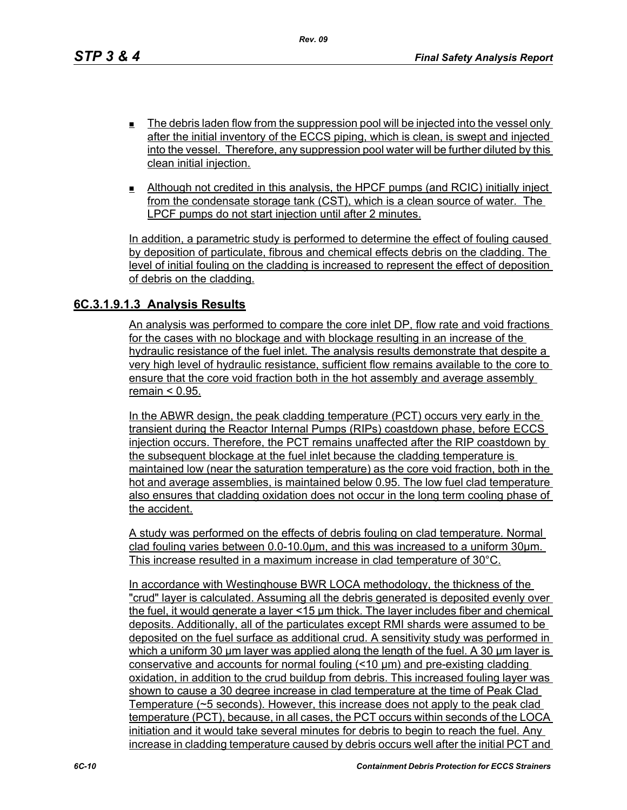- $\blacksquare$  The debris laden flow from the suppression pool will be injected into the vessel only after the initial inventory of the ECCS piping, which is clean, is swept and injected into the vessel. Therefore, any suppression pool water will be further diluted by this clean initial injection.
- Although not credited in this analysis, the HPCF pumps (and RCIC) initially inject from the condensate storage tank (CST), which is a clean source of water. The LPCF pumps do not start injection until after 2 minutes.

In addition, a parametric study is performed to determine the effect of fouling caused by deposition of particulate, fibrous and chemical effects debris on the cladding. The level of initial fouling on the cladding is increased to represent the effect of deposition of debris on the cladding.

#### **6C.3.1.9.1.3 Analysis Results**

An analysis was performed to compare the core inlet DP, flow rate and void fractions for the cases with no blockage and with blockage resulting in an increase of the hydraulic resistance of the fuel inlet. The analysis results demonstrate that despite a very high level of hydraulic resistance, sufficient flow remains available to the core to ensure that the core void fraction both in the hot assembly and average assembly remain < 0.95.

In the ABWR design, the peak cladding temperature (PCT) occurs very early in the transient during the Reactor Internal Pumps (RIPs) coastdown phase, before ECCS injection occurs. Therefore, the PCT remains unaffected after the RIP coastdown by the subsequent blockage at the fuel inlet because the cladding temperature is maintained low (near the saturation temperature) as the core void fraction, both in the hot and average assemblies, is maintained below 0.95. The low fuel clad temperature also ensures that cladding oxidation does not occur in the long term cooling phase of the accident.

A study was performed on the effects of debris fouling on clad temperature. Normal clad fouling varies between 0.0-10.0μm, and this was increased to a uniform 30μm. This increase resulted in a maximum increase in clad temperature of 30°C.

In accordance with Westinghouse BWR LOCA methodology, the thickness of the "crud" layer is calculated. Assuming all the debris generated is deposited evenly over the fuel, it would generate a layer <15 μm thick. The layer includes fiber and chemical deposits. Additionally, all of the particulates except RMI shards were assumed to be deposited on the fuel surface as additional crud. A sensitivity study was performed in which a uniform 30 μm layer was applied along the length of the fuel. A 30 μm layer is conservative and accounts for normal fouling (<10 μm) and pre-existing cladding oxidation, in addition to the crud buildup from debris. This increased fouling layer was shown to cause a 30 degree increase in clad temperature at the time of Peak Clad Temperature (~5 seconds). However, this increase does not apply to the peak clad temperature (PCT), because, in all cases, the PCT occurs within seconds of the LOCA initiation and it would take several minutes for debris to begin to reach the fuel. Any increase in cladding temperature caused by debris occurs well after the initial PCT and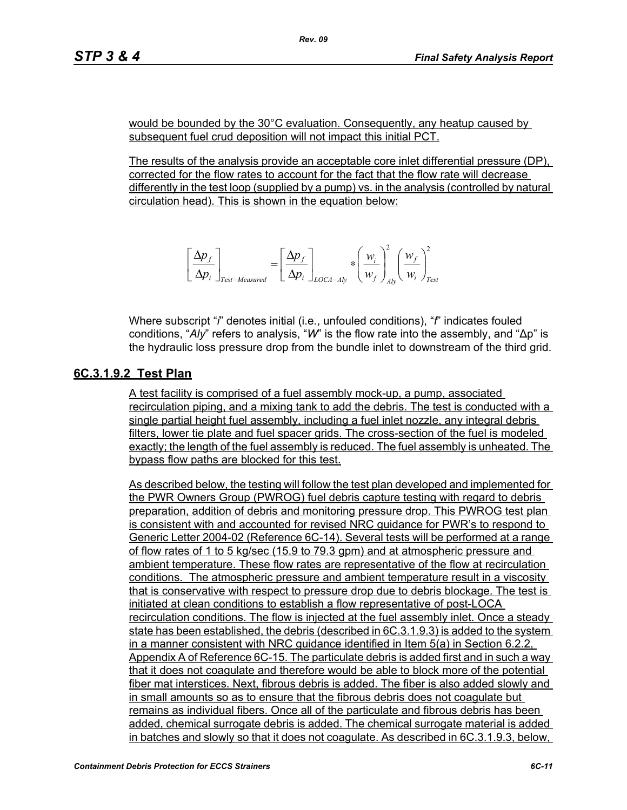would be bounded by the 30°C evaluation. Consequently, any heatup caused by subsequent fuel crud deposition will not impact this initial PCT.

The results of the analysis provide an acceptable core inlet differential pressure (DP), corrected for the flow rates to account for the fact that the flow rate will decrease differently in the test loop (supplied by a pump) vs. in the analysis (controlled by natural circulation head). This is shown in the equation below:

$$
\left[\frac{\Delta p_f}{\Delta p_i}\right]_{Test-Measured} = \left[\frac{\Delta p_f}{\Delta p_i}\right]_{LOCA-Aly} * \left(\frac{w_i}{w_f}\right)_{Ab}^2 \left(\frac{w_f}{w_i}\right)_{Test}^2
$$

Where subscript "*i*" denotes initial (i.e., unfouled conditions), "*f*" indicates fouled conditions, "*Aly*" refers to analysis, "*W*" is the flow rate into the assembly, and "∆p" is the hydraulic loss pressure drop from the bundle inlet to downstream of the third grid.

#### **6C.3.1.9.2 Test Plan**

A test facility is comprised of a fuel assembly mock-up, a pump, associated recirculation piping, and a mixing tank to add the debris. The test is conducted with a single partial height fuel assembly, including a fuel inlet nozzle, any integral debris filters, lower tie plate and fuel spacer grids. The cross-section of the fuel is modeled exactly; the length of the fuel assembly is reduced. The fuel assembly is unheated. The bypass flow paths are blocked for this test.

As described below, the testing will follow the test plan developed and implemented for the PWR Owners Group (PWROG) fuel debris capture testing with regard to debris preparation, addition of debris and monitoring pressure drop. This PWROG test plan is consistent with and accounted for revised NRC guidance for PWR's to respond to Generic Letter 2004-02 (Reference 6C-14). Several tests will be performed at a range of flow rates of 1 to 5 kg/sec (15.9 to 79.3 gpm) and at atmospheric pressure and ambient temperature. These flow rates are representative of the flow at recirculation conditions. The atmospheric pressure and ambient temperature result in a viscosity that is conservative with respect to pressure drop due to debris blockage. The test is initiated at clean conditions to establish a flow representative of post-LOCA recirculation conditions. The flow is injected at the fuel assembly inlet. Once a steady state has been established, the debris (described in 6C.3.1.9.3) is added to the system in a manner consistent with NRC guidance identified in Item 5(a) in Section 6.2.2, Appendix A of Reference 6C-15. The particulate debris is added first and in such a way that it does not coagulate and therefore would be able to block more of the potential fiber mat interstices. Next, fibrous debris is added. The fiber is also added slowly and in small amounts so as to ensure that the fibrous debris does not coagulate but remains as individual fibers. Once all of the particulate and fibrous debris has been added, chemical surrogate debris is added. The chemical surrogate material is added in batches and slowly so that it does not coagulate. As described in 6C.3.1.9.3, below,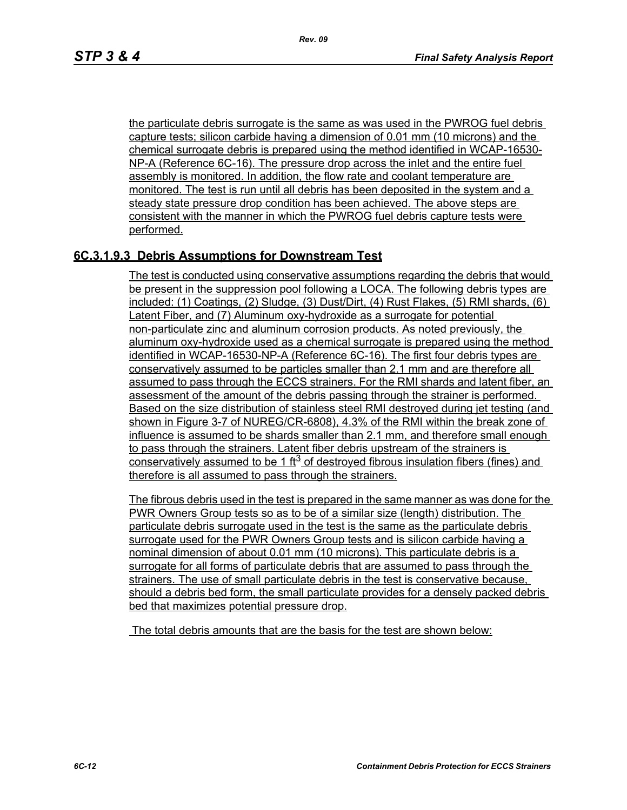the particulate debris surrogate is the same as was used in the PWROG fuel debris capture tests; silicon carbide having a dimension of 0.01 mm (10 microns) and the chemical surrogate debris is prepared using the method identified in WCAP-16530- NP-A (Reference 6C-16). The pressure drop across the inlet and the entire fuel assembly is monitored. In addition, the flow rate and coolant temperature are monitored. The test is run until all debris has been deposited in the system and a steady state pressure drop condition has been achieved. The above steps are consistent with the manner in which the PWROG fuel debris capture tests were performed.

### **6C.3.1.9.3 Debris Assumptions for Downstream Test**

The test is conducted using conservative assumptions regarding the debris that would be present in the suppression pool following a LOCA. The following debris types are included: (1) Coatings, (2) Sludge, (3) Dust/Dirt, (4) Rust Flakes, (5) RMI shards, (6) Latent Fiber, and (7) Aluminum oxy-hydroxide as a surrogate for potential non-particulate zinc and aluminum corrosion products. As noted previously, the aluminum oxy-hydroxide used as a chemical surrogate is prepared using the method identified in WCAP-16530-NP-A (Reference 6C-16). The first four debris types are conservatively assumed to be particles smaller than 2.1 mm and are therefore all assumed to pass through the ECCS strainers. For the RMI shards and latent fiber, an assessment of the amount of the debris passing through the strainer is performed. Based on the size distribution of stainless steel RMI destroyed during jet testing (and shown in Figure 3-7 of NUREG/CR-6808), 4.3% of the RMI within the break zone of influence is assumed to be shards smaller than 2.1 mm, and therefore small enough to pass through the strainers. Latent fiber debris upstream of the strainers is conservatively assumed to be 1 ft<sup>3</sup> of destroyed fibrous insulation fibers (fines) and therefore is all assumed to pass through the strainers.

The fibrous debris used in the test is prepared in the same manner as was done for the PWR Owners Group tests so as to be of a similar size (length) distribution. The particulate debris surrogate used in the test is the same as the particulate debris surrogate used for the PWR Owners Group tests and is silicon carbide having a nominal dimension of about 0.01 mm (10 microns). This particulate debris is a surrogate for all forms of particulate debris that are assumed to pass through the strainers. The use of small particulate debris in the test is conservative because, should a debris bed form, the small particulate provides for a densely packed debris bed that maximizes potential pressure drop.

The total debris amounts that are the basis for the test are shown below: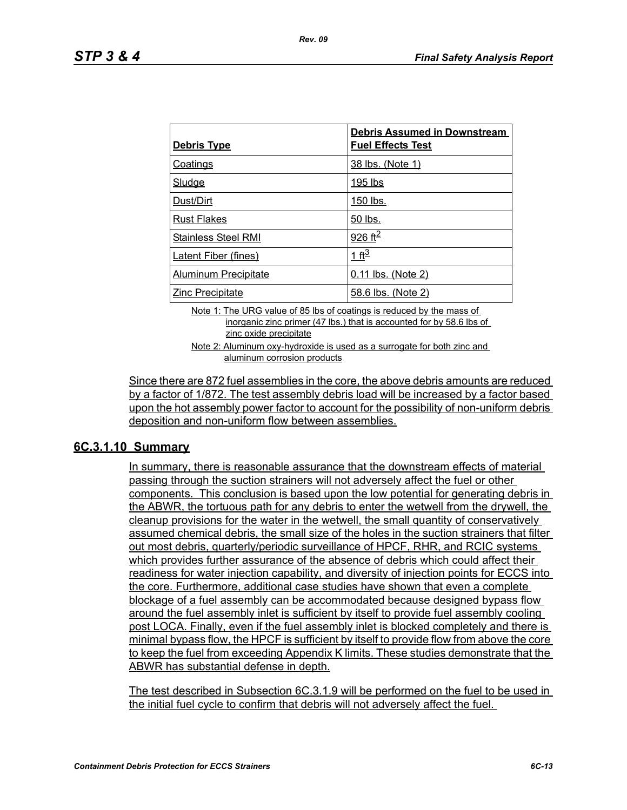| <u>Debris Type</u>          | <b>Debris Assumed in Downstream</b><br><b>Fuel Effects Test</b> |
|-----------------------------|-----------------------------------------------------------------|
| <b>Coatings</b>             | 38 lbs. (Note 1)                                                |
| Sludge                      | 195 lbs                                                         |
| Dust/Dirt                   | 150 lbs.                                                        |
| <b>Rust Flakes</b>          | 50 lbs.                                                         |
| <b>Stainless Steel RMI</b>  | 926 ft <sup>2</sup>                                             |
| <b>Latent Fiber (fines)</b> | 1 ft <sup>3</sup>                                               |
| Aluminum Precipitate        | 0.11 lbs. (Note 2)                                              |
| <b>Zinc Precipitate</b>     | 58.6 lbs. (Note 2)                                              |

Note 1: The URG value of 85 lbs of coatings is reduced by the mass of inorganic zinc primer (47 lbs.) that is accounted for by 58.6 lbs of zinc oxide precipitate

Note 2: Aluminum oxy-hydroxide is used as a surrogate for both zinc and aluminum corrosion products

Since there are 872 fuel assemblies in the core, the above debris amounts are reduced by a factor of 1/872. The test assembly debris load will be increased by a factor based upon the hot assembly power factor to account for the possibility of non-uniform debris deposition and non-uniform flow between assemblies.

#### **6C.3.1.10 Summary**

In summary, there is reasonable assurance that the downstream effects of material passing through the suction strainers will not adversely affect the fuel or other components. This conclusion is based upon the low potential for generating debris in the ABWR, the tortuous path for any debris to enter the wetwell from the drywell, the cleanup provisions for the water in the wetwell, the small quantity of conservatively assumed chemical debris, the small size of the holes in the suction strainers that filter out most debris, quarterly/periodic surveillance of HPCF, RHR, and RCIC systems which provides further assurance of the absence of debris which could affect their readiness for water injection capability, and diversity of injection points for ECCS into the core. Furthermore, additional case studies have shown that even a complete blockage of a fuel assembly can be accommodated because designed bypass flow around the fuel assembly inlet is sufficient by itself to provide fuel assembly cooling post LOCA. Finally, even if the fuel assembly inlet is blocked completely and there is minimal bypass flow, the HPCF is sufficient by itself to provide flow from above the core to keep the fuel from exceeding Appendix K limits. These studies demonstrate that the ABWR has substantial defense in depth.

The test described in Subsection 6C.3.1.9 will be performed on the fuel to be used in the initial fuel cycle to confirm that debris will not adversely affect the fuel.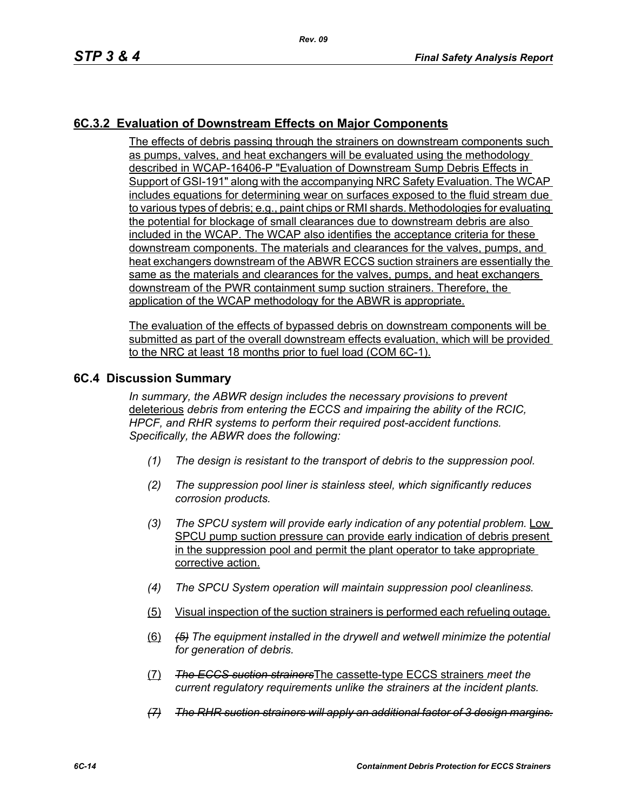## **6C.3.2 Evaluation of Downstream Effects on Major Components**

The effects of debris passing through the strainers on downstream components such as pumps, valves, and heat exchangers will be evaluated using the methodology described in WCAP-16406-P "Evaluation of Downstream Sump Debris Effects in Support of GSI-191" along with the accompanying NRC Safety Evaluation. The WCAP includes equations for determining wear on surfaces exposed to the fluid stream due to various types of debris; e.g., paint chips or RMI shards. Methodologies for evaluating the potential for blockage of small clearances due to downstream debris are also included in the WCAP. The WCAP also identifies the acceptance criteria for these downstream components. The materials and clearances for the valves, pumps, and heat exchangers downstream of the ABWR ECCS suction strainers are essentially the same as the materials and clearances for the valves, pumps, and heat exchangers downstream of the PWR containment sump suction strainers. Therefore, the application of the WCAP methodology for the ABWR is appropriate.

The evaluation of the effects of bypassed debris on downstream components will be submitted as part of the overall downstream effects evaluation, which will be provided to the NRC at least 18 months prior to fuel load (COM 6C-1).

#### **6C.4 Discussion Summary**

*In summary, the ABWR design includes the necessary provisions to prevent*  deleterious *debris from entering the ECCS and impairing the ability of the RCIC, HPCF, and RHR systems to perform their required post-accident functions. Specifically, the ABWR does the following:*

- *(1) The design is resistant to the transport of debris to the suppression pool.*
- *(2) The suppression pool liner is stainless steel, which significantly reduces corrosion products.*
- *(3) The SPCU system will provide early indication of any potential problem.* Low SPCU pump suction pressure can provide early indication of debris present in the suppression pool and permit the plant operator to take appropriate corrective action.
- *(4) The SPCU System operation will maintain suppression pool cleanliness.*
- (5) Visual inspection of the suction strainers is performed each refueling outage.
- (6) *(5) The equipment installed in the drywell and wetwell minimize the potential for generation of debris.*
- (7) *The ECCS suction strainers*The cassette-type ECCS strainers *meet the current regulatory requirements unlike the strainers at the incident plants.*
- *(7) The RHR suction strainers will apply an additional factor of 3 design margins.*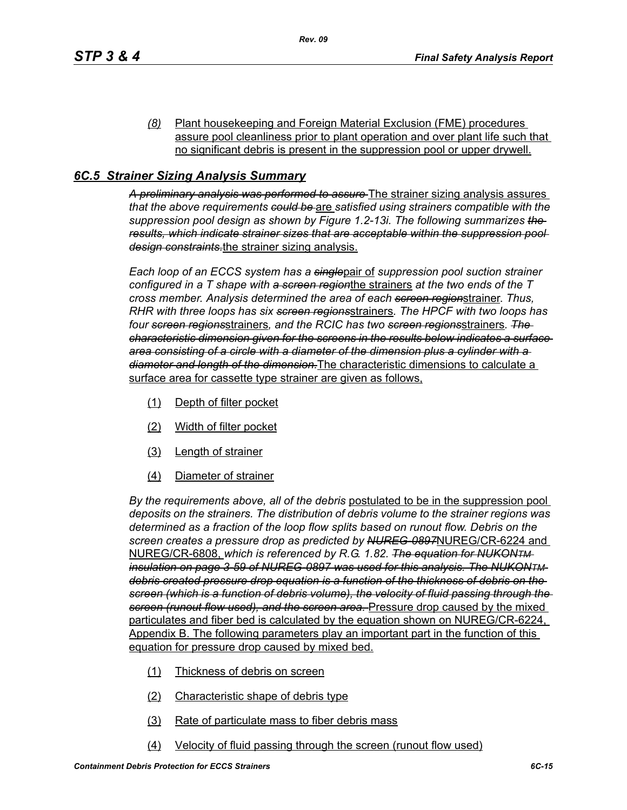*(8)* Plant housekeeping and Foreign Material Exclusion (FME) procedures assure pool cleanliness prior to plant operation and over plant life such that no significant debris is present in the suppression pool or upper drywell.

## *6C.5 Strainer Sizing Analysis Summary*

*A preliminary analysis was performed to assure* The strainer sizing analysis assures *that the above requirements could be* are *satisfied using strainers compatible with the suppression pool design as shown by Figure 1.2-13i. The following summarizes the results, which indicate strainer sizes that are acceptable within the suppression pool design constraints.*the strainer sizing analysis.

*Each loop of an ECCS system has a single*pair of *suppression pool suction strainer configured in a T shape with a screen region*the strainers *at the two ends of the T cross member. Analysis determined the area of each screen region*strainer. *Thus, RHR with three loops has six screen regions*strainers*. The HPCF with two loops has four screen regions*strainers*, and the RCIC has two screen regions*strainers*. The characteristic dimension given for the screens in the results below indicates a surface area consisting of a circle with a diameter of the dimension plus a cylinder with a diameter and length of the dimension.*The characteristic dimensions to calculate a surface area for cassette type strainer are given as follows,

- (1) Depth of filter pocket
- (2) Width of filter pocket
- (3) Length of strainer
- (4) Diameter of strainer

*By the requirements above, all of the debris* postulated to be in the suppression pool *deposits on the strainers. The distribution of debris volume to the strainer regions was determined as a fraction of the loop flow splits based on runout flow. Debris on the screen creates a pressure drop as predicted by NUREG-0897*NUREG/CR-6224 and NUREG/CR-6808, *which is referenced by R.G. 1.82. The equation for NUKONTM insulation on page 3-59 of NUREG-0897 was used for this analysis. The NUKONTM debris created pressure drop equation is a function of the thickness of debris on the screen (which is a function of debris volume), the velocity of fluid passing through the screen (runout flow used), and the screen area.* Pressure drop caused by the mixed particulates and fiber bed is calculated by the equation shown on NUREG/CR-6224, Appendix B. The following parameters play an important part in the function of this equation for pressure drop caused by mixed bed.

- (1) Thickness of debris on screen
- (2) Characteristic shape of debris type
- (3) Rate of particulate mass to fiber debris mass
- (4) Velocity of fluid passing through the screen (runout flow used)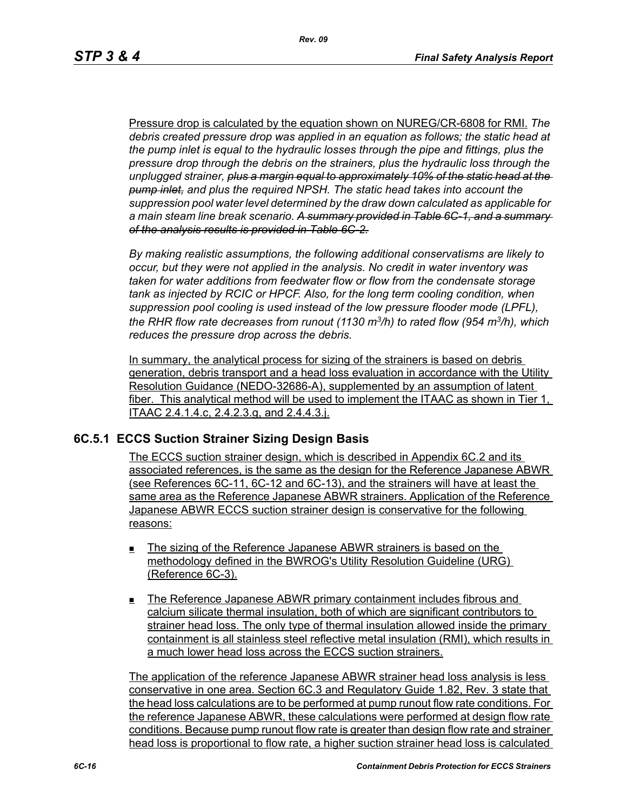Pressure drop is calculated by the equation shown on NUREG/CR-6808 for RMI. *The debris created pressure drop was applied in an equation as follows; the static head at the pump inlet is equal to the hydraulic losses through the pipe and fittings, plus the pressure drop through the debris on the strainers, plus the hydraulic loss through the unplugged strainer, plus a margin equal to approximately 10% of the static head at the pump inlet, and plus the required NPSH. The static head takes into account the suppression pool water level determined by the draw down calculated as applicable for a main steam line break scenario. A summary provided in Table 6C-1, and a summary of the analysis results is provided in Table 6C-2.*

*By making realistic assumptions, the following additional conservatisms are likely to occur, but they were not applied in the analysis. No credit in water inventory was taken for water additions from feedwater flow or flow from the condensate storage tank as injected by RCIC or HPCF. Also, for the long term cooling condition, when suppression pool cooling is used instead of the low pressure flooder mode (LPFL), the RHR flow rate decreases from runout (1130 m3/h) to rated flow (954 m3/h), which reduces the pressure drop across the debris.*

In summary, the analytical process for sizing of the strainers is based on debris generation, debris transport and a head loss evaluation in accordance with the Utility Resolution Guidance (NEDO-32686-A), supplemented by an assumption of latent fiber. This analytical method will be used to implement the ITAAC as shown in Tier 1, ITAAC 2.4.1.4.c, 2.4.2.3.g, and 2.4.4.3.j.

#### **6C.5.1 ECCS Suction Strainer Sizing Design Basis**

The ECCS suction strainer design, which is described in Appendix 6C.2 and its associated references, is the same as the design for the Reference Japanese ABWR (see References 6C-11, 6C-12 and 6C-13), and the strainers will have at least the same area as the Reference Japanese ABWR strainers. Application of the Reference Japanese ABWR ECCS suction strainer design is conservative for the following reasons:

- The sizing of the Reference Japanese ABWR strainers is based on the methodology defined in the BWROG's Utility Resolution Guideline (URG) (Reference 6C-3).
- The Reference Japanese ABWR primary containment includes fibrous and calcium silicate thermal insulation, both of which are significant contributors to strainer head loss. The only type of thermal insulation allowed inside the primary containment is all stainless steel reflective metal insulation (RMI), which results in a much lower head loss across the ECCS suction strainers.

The application of the reference Japanese ABWR strainer head loss analysis is less conservative in one area. Section 6C.3 and Regulatory Guide 1.82, Rev. 3 state that the head loss calculations are to be performed at pump runout flow rate conditions. For the reference Japanese ABWR, these calculations were performed at design flow rate conditions. Because pump runout flow rate is greater than design flow rate and strainer head loss is proportional to flow rate, a higher suction strainer head loss is calculated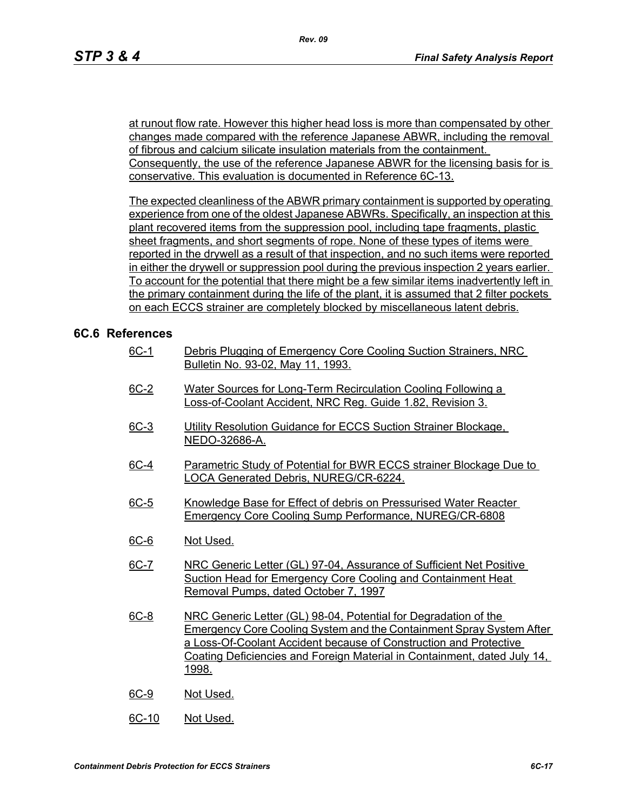at runout flow rate. However this higher head loss is more than compensated by other changes made compared with the reference Japanese ABWR, including the removal of fibrous and calcium silicate insulation materials from the containment. Consequently, the use of the reference Japanese ABWR for the licensing basis for is conservative. This evaluation is documented in Reference 6C-13.

The expected cleanliness of the ABWR primary containment is supported by operating experience from one of the oldest Japanese ABWRs. Specifically, an inspection at this plant recovered items from the suppression pool, including tape fragments, plastic sheet fragments, and short segments of rope. None of these types of items were reported in the drywell as a result of that inspection, and no such items were reported in either the drywell or suppression pool during the previous inspection 2 years earlier. To account for the potential that there might be a few similar items inadvertently left in the primary containment during the life of the plant, it is assumed that 2 filter pockets on each ECCS strainer are completely blocked by miscellaneous latent debris.

## **6C.6 References**

- 6C-1 Debris Plugging of Emergency Core Cooling Suction Strainers, NRC Bulletin No. 93-02, May 11, 1993.
- 6C-2 Water Sources for Long-Term Recirculation Cooling Following a Loss-of-Coolant Accident, NRC Reg. Guide 1.82, Revision 3.
- 6C-3 Utility Resolution Guidance for ECCS Suction Strainer Blockage. NEDO-32686-A.
- 6C-4 Parametric Study of Potential for BWR ECCS strainer Blockage Due to LOCA Generated Debris, NUREG/CR-6224.
- 6C-5 Knowledge Base for Effect of debris on Pressurised Water Reacter Emergency Core Cooling Sump Performance, NUREG/CR-6808
- 6C-6 Not Used.
- 6C-7 NRC Generic Letter (GL) 97-04, Assurance of Sufficient Net Positive Suction Head for Emergency Core Cooling and Containment Heat Removal Pumps, dated October 7, 1997
- 6C-8 NRC Generic Letter (GL) 98-04, Potential for Degradation of the Emergency Core Cooling System and the Containment Spray System After a Loss-Of-Coolant Accident because of Construction and Protective Coating Deficiencies and Foreign Material in Containment, dated July 14, 1998.
- 6C-9 Not Used.
- 6C-10 Not Used.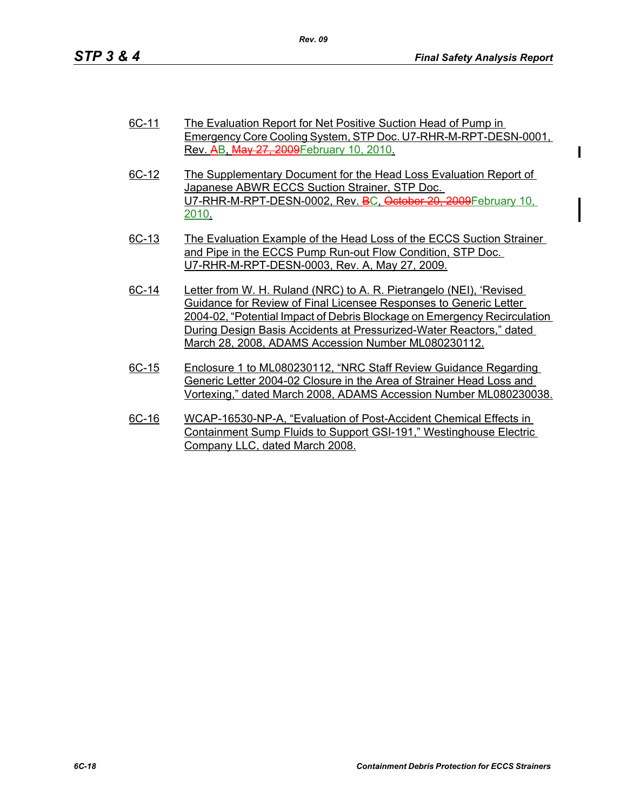| 6C-11 | The Evaluation Report for Net Positive Suction Head of Pump in  |  |  |
|-------|-----------------------------------------------------------------|--|--|
|       | Emergency Core Cooling System, STP Doc. U7-RHR-M-RPT-DESN-0001, |  |  |
|       | Rev. AB, May 27, 2009 February 10, 2010.                        |  |  |

- 6C-12 The Supplementary Document for the Head Loss Evaluation Report of Japanese ABWR ECCS Suction Strainer, STP Doc. U7-RHR-M-RPT-DESN-0002, Rev. BC, October 20, 2009February 10, 2010.
- 6C-13 The Evaluation Example of the Head Loss of the ECCS Suction Strainer and Pipe in the ECCS Pump Run-out Flow Condition, STP Doc. U7-RHR-M-RPT-DESN-0003, Rev. A, May 27, 2009.
- 6C-14 Letter from W. H. Ruland (NRC) to A. R. Pietrangelo (NEI), 'Revised Guidance for Review of Final Licensee Responses to Generic Letter 2004-02, "Potential Impact of Debris Blockage on Emergency Recirculation During Design Basis Accidents at Pressurized-Water Reactors," dated March 28, 2008, ADAMS Accession Number ML080230112.
- 6C-15 Enclosure 1 to ML080230112, "NRC Staff Review Guidance Regarding Generic Letter 2004-02 Closure in the Area of Strainer Head Loss and Vortexing," dated March 2008, ADAMS Accession Number ML080230038.
- 6C-16 WCAP-16530-NP-A, "Evaluation of Post-Accident Chemical Effects in Containment Sump Fluids to Support GSI-191," Westinghouse Electric Company LLC, dated March 2008.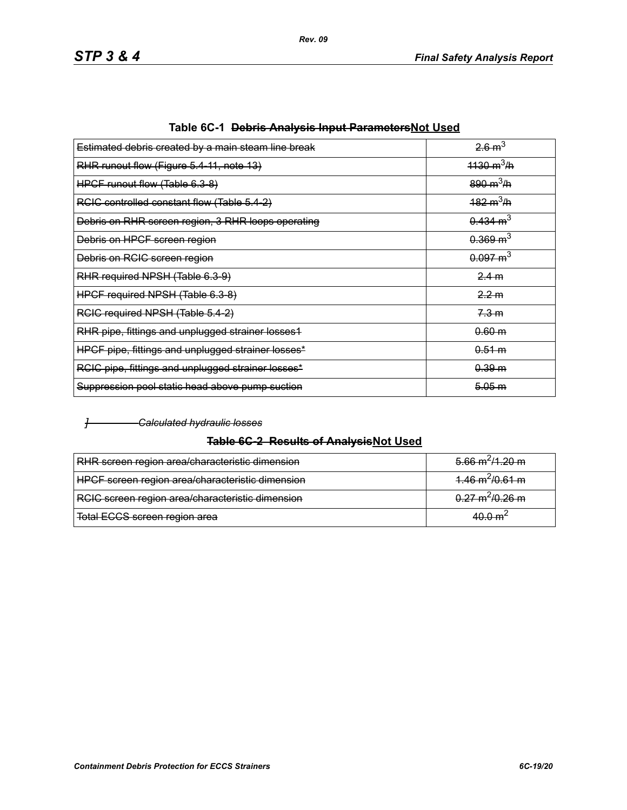| Estimated debris created by a main steam line break | 26m <sup>3</sup>            |
|-----------------------------------------------------|-----------------------------|
| RHR runout flow (Figure 5.4-11, note 13)            | $1130 \text{ m}^3/\text{h}$ |
| HPCF runout flow (Table 6.3-8)                      | $890 \text{ m}^3/\text{h}$  |
| RCIC controlled constant flow (Table 5.4-2)         | $182 \text{ m}^3/\text{h}$  |
| Debris on RHR screen region, 3 RHR loops operating  | $0.434 \text{ m}^3$         |
| Debris on HPCF screen region                        | $0.369 \text{ m}^3$         |
| Debris on RCIC screen region                        | $0.097 \text{ m}^3$         |
| RHR required NPSH (Table 6.3-9)                     | 2.4 m                       |
| HPCF required NPSH (Table 6.3-8)                    | 2.2 m                       |
| RCIC required NPSH (Table 5.4-2)                    | 7.3 m                       |
| RHR pipe, fittings and unplugged strainer losses1   | 0.60 m                      |
| HPCF pipe, fittings and unplugged strainer losses*  | 0.51 m                      |
| RCIC pipe, fittings and unplugged strainer losses*  | 0.39 m                      |
| Suppression pool static head above pump suction     | 5.05 m                      |
|                                                     |                             |

|  | Table 6C-1 <del>Debris Analysis Input Parameters</del> Not Used |  |
|--|-----------------------------------------------------------------|--|
|--|-----------------------------------------------------------------|--|

#### *] Calculated hydraulic losses*

### **Table 6C-2 Results of AnalysisNot Used**

| RHR screen region area/characteristic dimension  | $5.66 \text{ m}^2/1.20 \text{ m}$ |
|--------------------------------------------------|-----------------------------------|
| HPCF screen region area/characteristic dimension | $4.46 \text{ m}^2/0.61 \text{ m}$ |
| RCIC screen region area/characteristic dimension | $0.27 \text{ m}^2/0.26 \text{ m}$ |
| Total ECCS screen region area                    | $A \cap \cap m$                   |